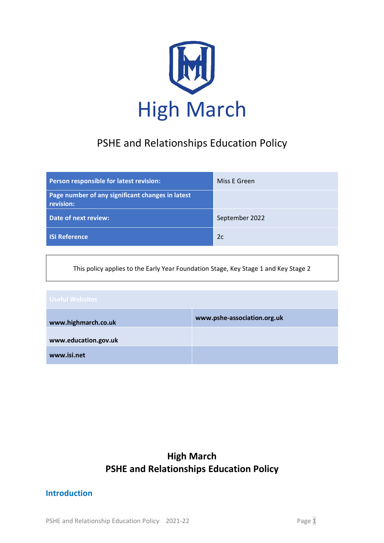

# PSHE and Relationships Education Policy

| Person responsible for latest revision:                       | Miss E Green   |
|---------------------------------------------------------------|----------------|
| Page number of any significant changes in latest<br>revision: |                |
| Date of next review:                                          | September 2022 |
| <b>ISI Reference</b>                                          | 2c             |

This policy applies to the Early Year Foundation Stage, Key Stage 1 and Key Stage 2

| Useful Websites      |                             |
|----------------------|-----------------------------|
| www.highmarch.co.uk  | www.pshe-association.org.uk |
| www.education.gov.uk |                             |
| www.isi.net          |                             |

## **High March PSHE and Relationships Education Policy**

## **Introduction**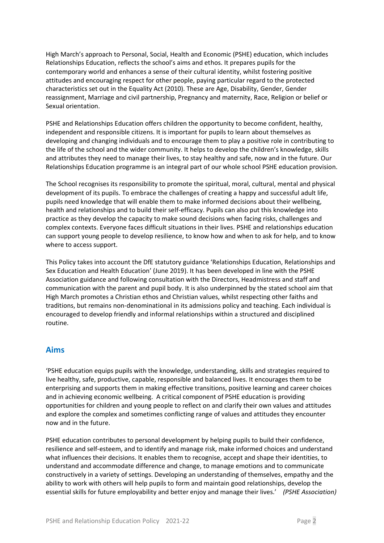High March's approach to Personal, Social, Health and Economic (PSHE) education, which includes Relationships Education, reflects the school's aims and ethos. It prepares pupils for the contemporary world and enhances a sense of their cultural identity, whilst fostering positive attitudes and encouraging respect for other people, paying particular regard to the protected characteristics set out in the Equality Act (2010). These are Age, Disability, Gender, Gender reassignment, Marriage and civil partnership, Pregnancy and maternity, Race, Religion or belief or Sexual orientation.

PSHE and Relationships Education offers children the opportunity to become confident, healthy, independent and responsible citizens. It is important for pupils to learn about themselves as developing and changing individuals and to encourage them to play a positive role in contributing to the life of the school and the wider community. It helps to develop the children's knowledge, skills and attributes they need to manage their lives, to stay healthy and safe, now and in the future. Our Relationships Education programme is an integral part of our whole school PSHE education provision.

The School recognises its responsibility to promote the spiritual, moral, cultural, mental and physical development of its pupils. To embrace the challenges of creating a happy and successful adult life, pupils need knowledge that will enable them to make informed decisions about their wellbeing, health and relationships and to build their self-efficacy. Pupils can also put this knowledge into practice as they develop the capacity to make sound decisions when facing risks, challenges and complex contexts. Everyone faces difficult situations in their lives. PSHE and relationships education can support young people to develop resilience, to know how and when to ask for help, and to know where to access support.

This Policy takes into account the DfE statutory guidance 'Relationships Education, Relationships and Sex Education and Health Education' (June 2019). It has been developed in line with the PSHE Association guidance and following consultation with the Directors, Headmistress and staff and communication with the parent and pupil body. It is also underpinned by the stated school aim that High March promotes a Christian ethos and Christian values, whilst respecting other faiths and traditions, but remains non-denominational in its admissions policy and teaching. Each individual is encouraged to develop friendly and informal relationships within a structured and disciplined routine.

## **Aims**

'PSHE education equips pupils with the knowledge, understanding, skills and strategies required to live healthy, safe, productive, capable, responsible and balanced lives. It encourages them to be enterprising and supports them in making effective transitions, positive learning and career choices and in achieving economic wellbeing. A critical component of PSHE education is providing opportunities for children and young people to reflect on and clarify their own values and attitudes and explore the complex and sometimes conflicting range of values and attitudes they encounter now and in the future.

PSHE education contributes to personal development by helping pupils to build their confidence, resilience and self-esteem, and to identify and manage risk, make informed choices and understand what influences their decisions. It enables them to recognise, accept and shape their identities, to understand and accommodate difference and change, to manage emotions and to communicate constructively in a variety of settings. Developing an understanding of themselves, empathy and the ability to work with others will help pupils to form and maintain good relationships, develop the essential skills for future employability and better enjoy and manage their lives.' *(PSHE Association)*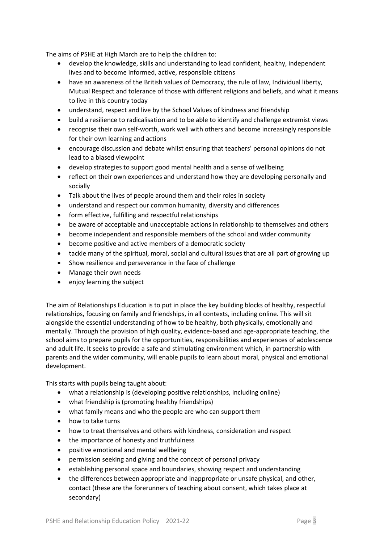The aims of PSHE at High March are to help the children to:

- develop the knowledge, skills and understanding to lead confident, healthy, independent lives and to become informed, active, responsible citizens
- have an awareness of the British values of Democracy, the rule of law, Individual liberty, Mutual Respect and tolerance of those with different religions and beliefs, and what it means to live in this country today
- understand, respect and live by the School Values of kindness and friendship
- build a resilience to radicalisation and to be able to identify and challenge extremist views
- recognise their own self-worth, work well with others and become increasingly responsible for their own learning and actions
- encourage discussion and debate whilst ensuring that teachers' personal opinions do not lead to a biased viewpoint
- develop strategies to support good mental health and a sense of wellbeing
- reflect on their own experiences and understand how they are developing personally and socially
- Talk about the lives of people around them and their roles in society
- understand and respect our common humanity, diversity and differences
- form effective, fulfilling and respectful relationships
- be aware of acceptable and unacceptable actions in relationship to themselves and others
- become independent and responsible members of the school and wider community
- become positive and active members of a democratic society
- tackle many of the spiritual, moral, social and cultural issues that are all part of growing up
- Show resilience and perseverance in the face of challenge
- Manage their own needs
- enjoy learning the subject

The aim of Relationships Education is to put in place the key building blocks of healthy, respectful relationships, focusing on family and friendships, in all contexts, including online. This will sit alongside the essential understanding of how to be healthy, both physically, emotionally and mentally. Through the provision of high quality, evidence-based and age-appropriate teaching, the school aims to prepare pupils for the opportunities, responsibilities and experiences of adolescence and adult life. It seeks to provide a safe and stimulating environment which, in partnership with parents and the wider community, will enable pupils to learn about moral, physical and emotional development.

This starts with pupils being taught about:

- what a relationship is (developing positive relationships, including online)
- what friendship is (promoting healthy friendships)
- what family means and who the people are who can support them
- how to take turns
- how to treat themselves and others with kindness, consideration and respect
- the importance of honesty and truthfulness
- positive emotional and mental wellbeing
- permission seeking and giving and the concept of personal privacy
- establishing personal space and boundaries, showing respect and understanding
- the differences between appropriate and inappropriate or unsafe physical, and other, contact (these are the forerunners of teaching about consent, which takes place at secondary)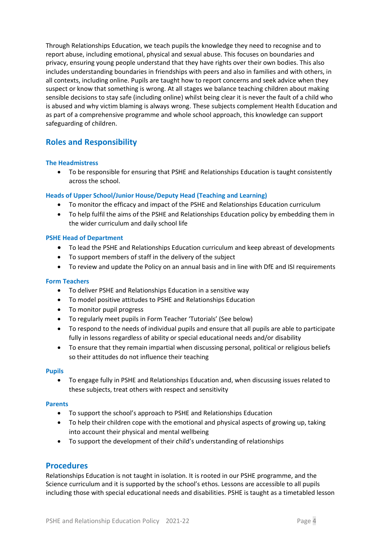Through Relationships Education, we teach pupils the knowledge they need to recognise and to report abuse, including emotional, physical and sexual abuse. This focuses on boundaries and privacy, ensuring young people understand that they have rights over their own bodies. This also includes understanding boundaries in friendships with peers and also in families and with others, in all contexts, including online. Pupils are taught how to report concerns and seek advice when they suspect or know that something is wrong. At all stages we balance teaching children about making sensible decisions to stay safe (including online) whilst being clear it is never the fault of a child who is abused and why victim blaming is always wrong. These subjects complement Health Education and as part of a comprehensive programme and whole school approach, this knowledge can support safeguarding of children.

## **Roles and Responsibility**

## **The Headmistress**

• To be responsible for ensuring that PSHE and Relationships Education is taught consistently across the school.

## **Heads of Upper School/Junior House/Deputy Head (Teaching and Learning)**

- To monitor the efficacy and impact of the PSHE and Relationships Education curriculum
- To help fulfil the aims of the PSHE and Relationships Education policy by embedding them in the wider curriculum and daily school life

## **PSHE Head of Department**

- To lead the PSHE and Relationships Education curriculum and keep abreast of developments
- To support members of staff in the delivery of the subject
- To review and update the Policy on an annual basis and in line with DfE and ISI requirements

## **Form Teachers**

- To deliver PSHE and Relationships Education in a sensitive way
- To model positive attitudes to PSHE and Relationships Education
- To monitor pupil progress
- To regularly meet pupils in Form Teacher 'Tutorials' (See below)
- To respond to the needs of individual pupils and ensure that all pupils are able to participate fully in lessons regardless of ability or special educational needs and/or disability
- To ensure that they remain impartial when discussing personal, political or religious beliefs so their attitudes do not influence their teaching

## **Pupils**

• To engage fully in PSHE and Relationships Education and, when discussing issues related to these subjects, treat others with respect and sensitivity

## **Parents**

- To support the school's approach to PSHE and Relationships Education
- To help their children cope with the emotional and physical aspects of growing up, taking into account their physical and mental wellbeing
- To support the development of their child's understanding of relationships

## **Procedures**

Relationships Education is not taught in isolation. It is rooted in our PSHE programme, and the Science curriculum and it is supported by the school's ethos. Lessons are accessible to all pupils including those with special educational needs and disabilities. PSHE is taught as a timetabled lesson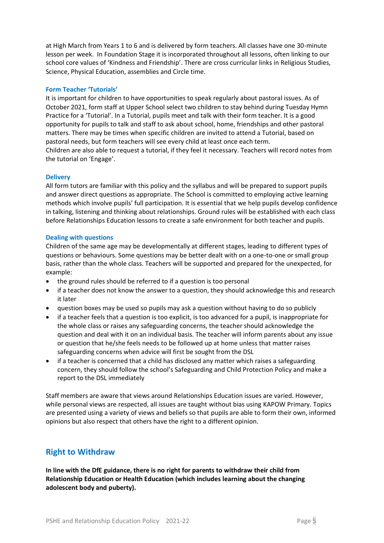at High March from Years 1 to 6 and is delivered by form teachers. All classes have one 30-minute lesson per week. In Foundation Stage it is incorporated throughout all lessons, often linking to our school core values of 'Kindness and Friendship'. There are cross curricular links in Religious Studies, Science, Physical Education, assemblies and Circle time.

### **Form Teacher 'Tutorials'**

It is important for children to have opportunities to speak regularly about pastoral issues. As of October 2021, form staff at Upper School select two children to stay behind during Tuesday Hymn Practice for a 'Tutorial'. In a Tutorial, pupils meet and talk with their form teacher. It is a good opportunity for pupils to talk and staff to ask about school, home, friendships and other pastoral matters. There may be times when specific children are invited to attend a Tutorial, based on pastoral needs, but form teachers will see every child at least once each term.

Children are also able to request a tutorial, if they feel it necessary. Teachers will record notes from the tutorial on 'Engage'.

#### **Delivery**

All form tutors are familiar with this policy and the syllabus and will be prepared to support pupils and answer direct questions as appropriate. The School is committed to employing active learning methods which involve pupils' full participation. It is essential that we help pupils develop confidence in talking, listening and thinking about relationships. Ground rules will be established with each class before Relationships Education lessons to create a safe environment for both teacher and pupils.

#### **Dealing with questions**

Children of the same age may be developmentally at different stages, leading to different types of questions or behaviours. Some questions may be better dealt with on a one-to-one or small group basis, rather than the whole class. Teachers will be supported and prepared for the unexpected, for example:

- the ground rules should be referred to if a question is too personal
- if a teacher does not know the answer to a question, they should acknowledge this and research it later
- question boxes may be used so pupils may ask a question without having to do so publicly
- if a teacher feels that a question is too explicit, is too advanced for a pupil, is inappropriate for the whole class or raises any safeguarding concerns, the teacher should acknowledge the question and deal with it on an individual basis. The teacher will inform parents about any issue or question that he/she feels needs to be followed up at home unless that matter raises safeguarding concerns when advice will first be sought from the DSL
- if a teacher is concerned that a child has disclosed any matter which raises a safeguarding concern, they should follow the school's Safeguarding and Child Protection Policy and make a report to the DSL immediately

Staff members are aware that views around Relationships Education issues are varied. However, while personal views are respected, all issues are taught without bias using KAPOW Primary. Topics are presented using a variety of views and beliefs so that pupils are able to form their own, informed opinions but also respect that others have the right to a different opinion.

## **Right to Withdraw**

**In line with the DfE guidance, there is no right for parents to withdraw their child from Relationship Education or Health Education (which includes learning about the changing adolescent body and puberty).**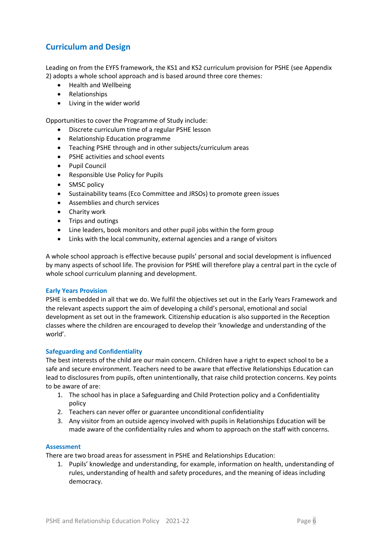## **Curriculum and Design**

Leading on from the EYFS framework, the KS1 and KS2 curriculum provision for PSHE (see Appendix 2) adopts a whole school approach and is based around three core themes:

- Health and Wellbeing
- Relationships
- Living in the wider world

Opportunities to cover the Programme of Study include:

- Discrete curriculum time of a regular PSHE lesson
- Relationship Education programme
- Teaching PSHE through and in other subjects/curriculum areas
- PSHE activities and school events
- Pupil Council
- Responsible Use Policy for Pupils
- SMSC policy
- Sustainability teams (Eco Committee and JRSOs) to promote green issues
- Assemblies and church services
- Charity work
- Trips and outings
- Line leaders, book monitors and other pupil jobs within the form group
- Links with the local community, external agencies and a range of visitors

A whole school approach is effective because pupils' personal and social development is influenced by many aspects of school life. The provision for PSHE will therefore play a central part in the cycle of whole school curriculum planning and development.

#### **Early Years Provision**

PSHE is embedded in all that we do. We fulfil the objectives set out in the Early Years Framework and the relevant aspects support the aim of developing a child's personal, emotional and social development as set out in the framework. Citizenship education is also supported in the Reception classes where the children are encouraged to develop their 'knowledge and understanding of the world'.

## **Safeguarding and Confidentiality**

The best interests of the child are our main concern. Children have a right to expect school to be a safe and secure environment. Teachers need to be aware that effective Relationships Education can lead to disclosures from pupils, often unintentionally, that raise child protection concerns. Key points to be aware of are:

- 1. The school has in place a Safeguarding and Child Protection policy and a Confidentiality policy
- 2. Teachers can never offer or guarantee unconditional confidentiality
- 3. Any visitor from an outside agency involved with pupils in Relationships Education will be made aware of the confidentiality rules and whom to approach on the staff with concerns.

#### **Assessment**

There are two broad areas for assessment in PSHE and Relationships Education:

1. Pupils' knowledge and understanding, for example, information on health, understanding of rules, understanding of health and safety procedures, and the meaning of ideas including democracy.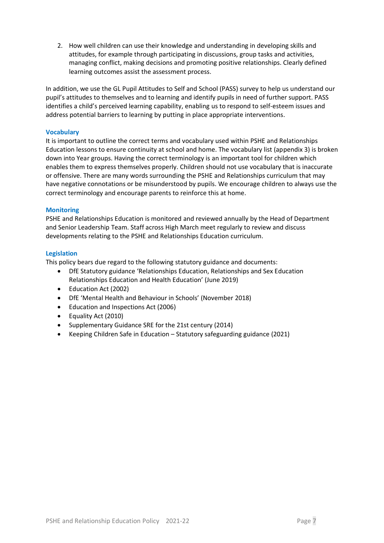2. How well children can use their knowledge and understanding in developing skills and attitudes, for example through participating in discussions, group tasks and activities, managing conflict, making decisions and promoting positive relationships. Clearly defined learning outcomes assist the assessment process.

In addition, we use the GL Pupil Attitudes to Self and School (PASS) survey to help us understand our pupil's attitudes to themselves and to learning and identify pupils in need of further support. PASS identifies a child's perceived learning capability, enabling us to respond to self-esteem issues and address potential barriers to learning by putting in place appropriate interventions.

## **Vocabulary**

It is important to outline the correct terms and vocabulary used within PSHE and Relationships Education lessons to ensure continuity at school and home. The vocabulary list (appendix 3) is broken down into Year groups. Having the correct terminology is an important tool for children which enables them to express themselves properly. Children should not use vocabulary that is inaccurate or offensive. There are many words surrounding the PSHE and Relationships curriculum that may have negative connotations or be misunderstood by pupils. We encourage children to always use the correct terminology and encourage parents to reinforce this at home.

## **Monitoring**

PSHE and Relationships Education is monitored and reviewed annually by the Head of Department and Senior Leadership Team. Staff across High March meet regularly to review and discuss developments relating to the PSHE and Relationships Education curriculum.

## **Legislation**

This policy bears due regard to the following statutory guidance and documents:

- DfE Statutory guidance 'Relationships Education, Relationships and Sex Education Relationships Education and Health Education' (June 2019)
- Education Act (2002)
- DfE 'Mental Health and Behaviour in Schools' (November 2018)
- Education and Inspections Act (2006)
- Equality Act (2010)
- Supplementary Guidance SRE for the 21st century (2014)
- Keeping Children Safe in Education Statutory safeguarding guidance (2021)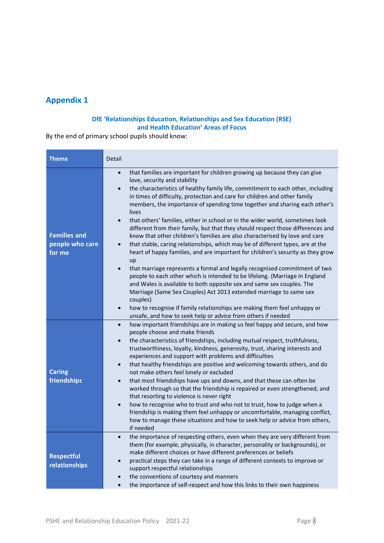## **Appendix 1**

## **DfE 'Relationships Education, Relationships and Sex Education (RSE) and Health Education' Areas of Focus**

By the end of primary school pupils should know:

| <b>Theme</b>                                     | Detail                                                                                                                                                                                                                                                                                                                                                                                                                                                                                                                                                                                                                                                                                                                                                                                                                                                                                                                                                                                                                                                                                                                                                                                                                                                                                                                              |  |  |
|--------------------------------------------------|-------------------------------------------------------------------------------------------------------------------------------------------------------------------------------------------------------------------------------------------------------------------------------------------------------------------------------------------------------------------------------------------------------------------------------------------------------------------------------------------------------------------------------------------------------------------------------------------------------------------------------------------------------------------------------------------------------------------------------------------------------------------------------------------------------------------------------------------------------------------------------------------------------------------------------------------------------------------------------------------------------------------------------------------------------------------------------------------------------------------------------------------------------------------------------------------------------------------------------------------------------------------------------------------------------------------------------------|--|--|
| <b>Families and</b><br>people who care<br>for me | that families are important for children growing up because they can give<br>$\bullet$<br>love, security and stability<br>the characteristics of healthy family life, commitment to each other, including<br>$\bullet$<br>in times of difficulty, protection and care for children and other family<br>members, the importance of spending time together and sharing each other's<br>lives<br>that others' families, either in school or in the wider world, sometimes look<br>different from their family, but that they should respect those differences and<br>know that other children's families are also characterised by love and care<br>that stable, caring relationships, which may be of different types, are at the<br>$\bullet$<br>heart of happy families, and are important for children's security as they grow<br>up<br>that marriage represents a formal and legally recognised commitment of two<br>$\bullet$<br>people to each other which is intended to be lifelong. (Marriage in England<br>and Wales is available to both opposite sex and same sex couples. The<br>Marriage (Same Sex Couples) Act 2013 extended marriage to same sex<br>couples)<br>how to recognise if family relationships are making them feel unhappy or<br>$\bullet$<br>unsafe, and how to seek help or advice from others if needed |  |  |
| <b>Caring</b><br>friendships                     | how important friendships are in making us feel happy and secure, and how<br>$\bullet$<br>people choose and make friends<br>the characteristics of friendships, including mutual respect, truthfulness,<br>$\bullet$<br>trustworthiness, loyalty, kindness, generosity, trust, sharing interests and<br>experiences and support with problems and difficulties<br>that healthy friendships are positive and welcoming towards others, and do<br>$\bullet$<br>not make others feel lonely or excluded<br>that most friendships have ups and downs, and that these can often be<br>$\bullet$<br>worked through so that the friendship is repaired or even strengthened, and<br>that resorting to violence is never right<br>how to recognise who to trust and who not to trust, how to judge when a<br>$\bullet$<br>friendship is making them feel unhappy or uncomfortable, managing conflict,<br>how to manage these situations and how to seek help or advice from others,<br>if needed                                                                                                                                                                                                                                                                                                                                            |  |  |
| <b>Respectful</b><br>relationships               | the importance of respecting others, even when they are very different from<br>them (for example, physically, in character, personality or backgrounds), or<br>make different choices or have different preferences or beliefs<br>practical steps they can take in a range of different contexts to improve or<br>$\bullet$<br>support respectful relationships<br>the conventions of courtesy and manners<br>the importance of self-respect and how this links to their own happiness<br>$\bullet$                                                                                                                                                                                                                                                                                                                                                                                                                                                                                                                                                                                                                                                                                                                                                                                                                                 |  |  |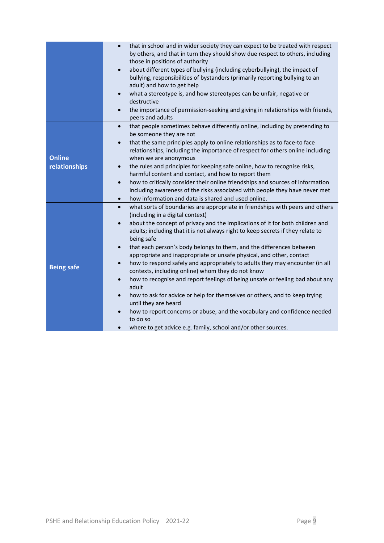|                                | that in school and in wider society they can expect to be treated with respect<br>by others, and that in turn they should show due respect to others, including<br>those in positions of authority<br>about different types of bullying (including cyberbullying), the impact of<br>$\bullet$<br>bullying, responsibilities of bystanders (primarily reporting bullying to an<br>adult) and how to get help<br>what a stereotype is, and how stereotypes can be unfair, negative or<br>$\bullet$<br>destructive<br>the importance of permission-seeking and giving in relationships with friends,<br>$\bullet$<br>peers and adults                                                                                                                                                                                                                                                                                                                                                                                               |
|--------------------------------|----------------------------------------------------------------------------------------------------------------------------------------------------------------------------------------------------------------------------------------------------------------------------------------------------------------------------------------------------------------------------------------------------------------------------------------------------------------------------------------------------------------------------------------------------------------------------------------------------------------------------------------------------------------------------------------------------------------------------------------------------------------------------------------------------------------------------------------------------------------------------------------------------------------------------------------------------------------------------------------------------------------------------------|
| <b>Online</b><br>relationships | that people sometimes behave differently online, including by pretending to<br>$\bullet$<br>be someone they are not<br>that the same principles apply to online relationships as to face-to face<br>$\bullet$<br>relationships, including the importance of respect for others online including<br>when we are anonymous<br>the rules and principles for keeping safe online, how to recognise risks,<br>$\bullet$<br>harmful content and contact, and how to report them<br>how to critically consider their online friendships and sources of information<br>$\bullet$<br>including awareness of the risks associated with people they have never met<br>how information and data is shared and used online.<br>$\bullet$                                                                                                                                                                                                                                                                                                      |
| <b>Being safe</b>              | what sorts of boundaries are appropriate in friendships with peers and others<br>$\bullet$<br>(including in a digital context)<br>about the concept of privacy and the implications of it for both children and<br>$\bullet$<br>adults; including that it is not always right to keep secrets if they relate to<br>being safe<br>that each person's body belongs to them, and the differences between<br>$\bullet$<br>appropriate and inappropriate or unsafe physical, and other, contact<br>how to respond safely and appropriately to adults they may encounter (in all<br>$\bullet$<br>contexts, including online) whom they do not know<br>how to recognise and report feelings of being unsafe or feeling bad about any<br>$\bullet$<br>adult<br>how to ask for advice or help for themselves or others, and to keep trying<br>$\bullet$<br>until they are heard<br>how to report concerns or abuse, and the vocabulary and confidence needed<br>to do so<br>where to get advice e.g. family, school and/or other sources. |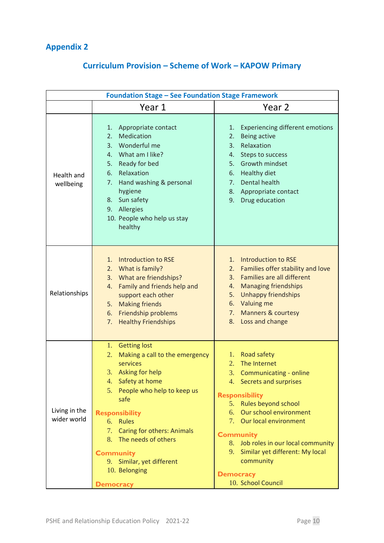## **Appendix 2**

# **Curriculum Provision – Scheme of Work – KAPOW Primary**

| <b>Foundation Stage - See Foundation Stage Framework</b> |                                                                                                                                                                                                                                                                                                                                                                            |                                                                                                                                                                                                                                                                                                                                                                         |
|----------------------------------------------------------|----------------------------------------------------------------------------------------------------------------------------------------------------------------------------------------------------------------------------------------------------------------------------------------------------------------------------------------------------------------------------|-------------------------------------------------------------------------------------------------------------------------------------------------------------------------------------------------------------------------------------------------------------------------------------------------------------------------------------------------------------------------|
|                                                          | Year 1                                                                                                                                                                                                                                                                                                                                                                     | Year 2                                                                                                                                                                                                                                                                                                                                                                  |
| Health and<br>wellbeing                                  | Appropriate contact<br>1.<br>Medication<br>2.<br>Wonderful me<br>3.<br>4. What am I like?<br>Ready for bed<br>5.<br>Relaxation<br>6.<br>Hand washing & personal<br>7.<br>hygiene<br>8. Sun safety<br>9. Allergies<br>10. People who help us stay<br>healthy                                                                                                                | <b>Experiencing different emotions</b><br>1.<br><b>Being active</b><br>2.<br>Relaxation<br>3.<br>Steps to success<br>4.<br>Growth mindset<br>5.<br><b>Healthy diet</b><br>6.<br>Dental health<br>7.<br>Appropriate contact<br>8.<br>Drug education<br>9.                                                                                                                |
| Relationships                                            | <b>Introduction to RSE</b><br>1.<br>What is family?<br>2.<br>3. What are friendships?<br>Family and friends help and<br>4.<br>support each other<br>5. Making friends<br>Friendship problems<br>6.<br><b>Healthy Friendships</b><br>7.                                                                                                                                     | Introduction to RSE<br>1.<br>Families offer stability and love<br>2.<br>Families are all different<br>3.<br><b>Managing friendships</b><br>4.<br><b>Unhappy friendships</b><br>5.<br>6. Valuing me<br>7. Manners & courtesy<br>8. Loss and change                                                                                                                       |
| Living in the<br>wider world                             | <b>Getting lost</b><br>1.<br>2.<br>Making a call to the emergency<br>services<br>3.<br>Asking for help<br>Safety at home<br>4.<br>People who help to keep us<br>5.<br>safe<br><b>Responsibility</b><br>6. Rules<br><b>Caring for others: Animals</b><br>7.<br>8. The needs of others<br><b>Community</b><br>9. Similar, yet different<br>10. Belonging<br><b>Democracy</b> | Road safety<br>1.<br>The Internet<br>2.<br>3.<br>Communicating - online<br>4. Secrets and surprises<br><b>Responsibility</b><br>5. Rules beyond school<br>6. Our school environment<br>7. Our local environment<br><b>Community</b><br>8. Job roles in our local community<br>9. Similar yet different: My local<br>community<br><b>Democracy</b><br>10. School Council |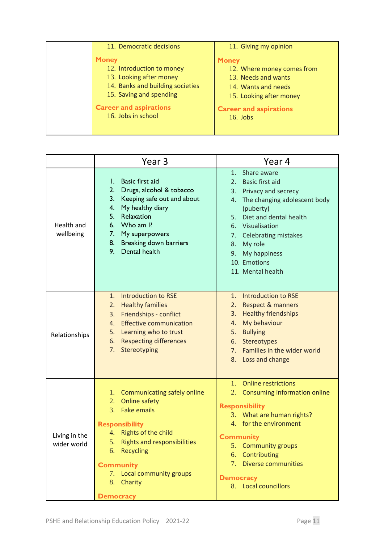| 11. Democratic decisions                                                                                                            | 11. Giving my opinion                                                                                               |
|-------------------------------------------------------------------------------------------------------------------------------------|---------------------------------------------------------------------------------------------------------------------|
| <b>Money</b><br>12. Introduction to money<br>13. Looking after money<br>14. Banks and building societies<br>15. Saving and spending | <b>Money</b><br>12. Where money comes from<br>13. Needs and wants<br>14. Wants and needs<br>15. Looking after money |
| <b>Career and aspirations</b><br>16. Jobs in school                                                                                 | <b>Career and aspirations</b><br>$16.$ Jobs                                                                         |

|                              | Year 3                                                                                                                                                                                                                                                                          | Year 4                                                                                                                                                                                                                                                                                                         |
|------------------------------|---------------------------------------------------------------------------------------------------------------------------------------------------------------------------------------------------------------------------------------------------------------------------------|----------------------------------------------------------------------------------------------------------------------------------------------------------------------------------------------------------------------------------------------------------------------------------------------------------------|
| Health and<br>wellbeing      | Basic first aid<br>L.<br>2.<br>Drugs, alcohol & tobacco<br>Keeping safe out and about<br>3.<br>My healthy diary<br>4.<br>5.<br>Relaxation<br>Who am I?<br>6.<br>7.<br>My superpowers<br>8.<br>Breaking down barriers<br>9.<br>Dental health                                     | Share aware<br>1.<br><b>Basic first aid</b><br>$2_{-}$<br>Privacy and secrecy<br>3.<br>The changing adolescent body<br>4.<br>(puberty)<br>Diet and dental health<br>5.<br>Visualisation<br>6.<br><b>Celebrating mistakes</b><br>7.<br>My role<br>8.<br>My happiness<br>9.<br>10. Emotions<br>11. Mental health |
| Relationships                | <b>Introduction to RSE</b><br>1.<br><b>Healthy families</b><br>2.<br>Friendships - conflict<br>3.<br><b>Effective communication</b><br>4.<br>Learning who to trust<br>5.<br><b>Respecting differences</b><br>6.<br>7.<br>Stereotyping                                           | <b>Introduction to RSE</b><br>1.<br><b>Respect &amp; manners</b><br>2.<br><b>Healthy friendships</b><br>3.<br>My behaviour<br>4.<br><b>Bullying</b><br>5.<br>Stereotypes<br>6.<br>Families in the wider world<br>7.<br>Loss and change<br>8.                                                                   |
| Living in the<br>wider world | Communicating safely online<br>1.<br>Online safety<br>2.<br>3. Fake emails<br><b>Responsibility</b><br>Rights of the child<br>4.<br><b>Rights and responsibilities</b><br>5.<br>6. Recycling<br><b>Community</b><br>7. Local community groups<br>8. Charity<br><b>Democracy</b> | <b>Online restrictions</b><br>1.<br>2. Consuming information online<br><b>Responsibility</b><br>3. What are human rights?<br>4. for the environment<br><b>Community</b><br>5. Community groups<br>6. Contributing<br>7. Diverse communities<br><b>Democracy</b><br>8. Local councillors                        |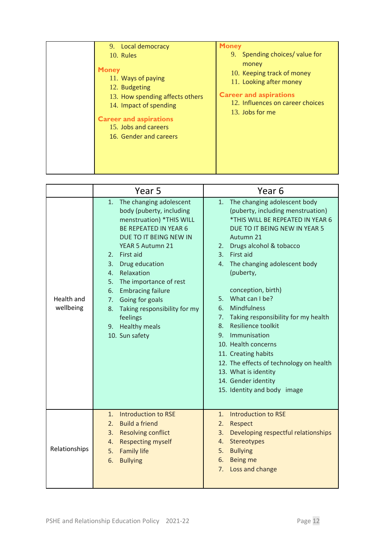| 9. Local democracy<br>10. Rules                                                                                                                                                                     | <b>Money</b><br>9. Spending choices/value for                                                                                                          |
|-----------------------------------------------------------------------------------------------------------------------------------------------------------------------------------------------------|--------------------------------------------------------------------------------------------------------------------------------------------------------|
| <b>Money</b><br>11. Ways of paying<br>12. Budgeting<br>13. How spending affects others<br>14. Impact of spending<br><b>Career and aspirations</b><br>15. Jobs and careers<br>16. Gender and careers | money<br>10. Keeping track of money<br>11. Looking after money<br><b>Career and aspirations</b><br>12. Influences on career choices<br>13. Jobs for me |

|                                | Year 5                                                                                                                                                                                                                                                                                                                                                                                                       | Year <sub>6</sub>                                                                                                                                                                                                                                                                                                                                                                                                                                                                                                                                                                                 |
|--------------------------------|--------------------------------------------------------------------------------------------------------------------------------------------------------------------------------------------------------------------------------------------------------------------------------------------------------------------------------------------------------------------------------------------------------------|---------------------------------------------------------------------------------------------------------------------------------------------------------------------------------------------------------------------------------------------------------------------------------------------------------------------------------------------------------------------------------------------------------------------------------------------------------------------------------------------------------------------------------------------------------------------------------------------------|
| <b>Health and</b><br>wellbeing | The changing adolescent<br>1.<br>body (puberty, including<br>menstruation) *THIS WILL<br><b>BE REPEATED IN YEAR 6</b><br>DUE TO IT BEING NEW IN<br>YEAR 5 Autumn 21<br>2. First aid<br>3. Drug education<br>4. Relaxation<br>The importance of rest<br>5.<br><b>Embracing failure</b><br>6.<br>Going for goals<br>7.<br>Taking responsibility for my<br>8.<br>feelings<br>9. Healthy meals<br>10. Sun safety | The changing adolescent body<br>1.<br>(puberty, including menstruation)<br>*THIS WILL BE REPEATED IN YEAR 6<br>DUE TO IT BEING NEW IN YEAR 5<br>Autumn 21<br>2. Drugs alcohol & tobacco<br>3. First aid<br>4. The changing adolescent body<br>(puberty,<br>conception, birth)<br>5. What can I be?<br><b>Mindfulness</b><br>6.<br>7. Taking responsibility for my health<br>Resilience toolkit<br>8.<br>Immunisation<br>9.<br>10. Health concerns<br>11. Creating habits<br>12. The effects of technology on health<br>13. What is identity<br>14. Gender identity<br>15. Identity and body image |
| Relationships                  | Introduction to RSE<br>1.<br>2. Build a friend<br>3. Resolving conflict<br><b>Respecting myself</b><br>4.<br>5.<br><b>Family life</b><br><b>Bullying</b><br>6.                                                                                                                                                                                                                                               | Introduction to RSE<br>1.<br>2.<br>Respect<br>3.<br>Developing respectful relationships<br>Stereotypes<br>4.<br>5. Bullying<br>6.<br>Being me<br>7. Loss and change                                                                                                                                                                                                                                                                                                                                                                                                                               |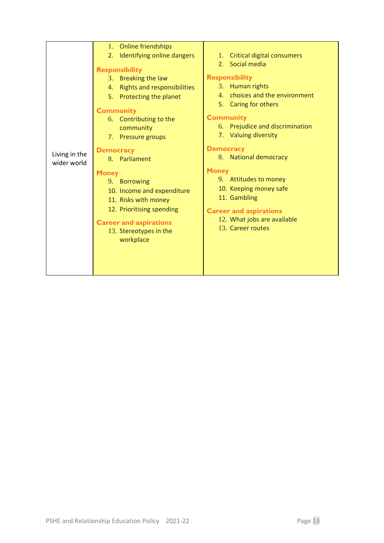| Living in the<br>wider world | 1. Online friendships<br>2.<br>Identifying online dangers<br><b>Responsibility</b><br>3. Breaking the law<br>4. Rights and responsibilities<br>5. Protecting the planet<br><b>Community</b><br>6. Contributing to the<br>community<br>7. Pressure groups<br><b>Democracy</b><br>8. Parliament<br><b>Money</b><br>9. Borrowing<br>10. Income and expenditure<br>11. Risks with money<br>12. Prioritising spending<br><b>Career and aspirations</b><br>13. Stereotypes in the<br>workplace | 1. Critical digital consumers<br>Social media<br>2.<br><b>Responsibility</b><br>3. Human rights<br>4. choices and the environment<br>5. Caring for others<br><b>Community</b><br>6. Prejudice and discrimination<br>7. Valuing diversity<br><b>Democracy</b><br>8. National democracy<br><b>Money</b><br>9. Attitudes to money<br>10. Keeping money safe<br>11. Gambling<br><b>Career and aspirations</b><br>12. What jobs are available<br>13. Career routes |
|------------------------------|------------------------------------------------------------------------------------------------------------------------------------------------------------------------------------------------------------------------------------------------------------------------------------------------------------------------------------------------------------------------------------------------------------------------------------------------------------------------------------------|---------------------------------------------------------------------------------------------------------------------------------------------------------------------------------------------------------------------------------------------------------------------------------------------------------------------------------------------------------------------------------------------------------------------------------------------------------------|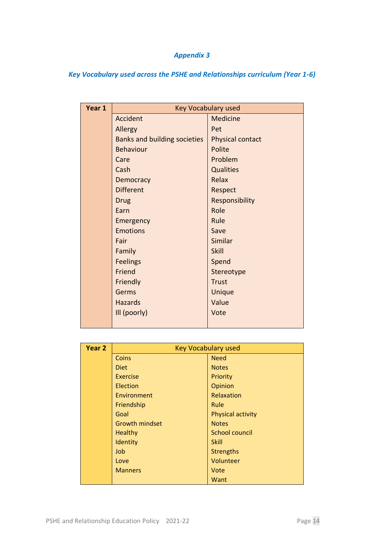## *Appendix 3*

*Key Vocabulary used across the PSHE and Relationships curriculum (Year 1-6)* 

| Year 1 | <b>Key Vocabulary used</b>          |                         |
|--------|-------------------------------------|-------------------------|
|        | Accident                            | <b>Medicine</b>         |
|        | Allergy                             | Pet                     |
|        | <b>Banks and building societies</b> | <b>Physical contact</b> |
|        | <b>Behaviour</b>                    | Polite                  |
|        | Care                                | Problem                 |
|        | Cash                                | <b>Qualities</b>        |
|        | Democracy                           | Relax                   |
|        | <b>Different</b>                    | Respect                 |
|        | <b>Drug</b>                         | Responsibility          |
|        | Earn                                | Role                    |
|        | Emergency                           | Rule                    |
|        | <b>Emotions</b>                     | Save                    |
|        | Fair                                | Similar                 |
|        | Family                              | Skill                   |
|        | <b>Feelings</b>                     | Spend                   |
|        | Friend                              | Stereotype              |
|        | Friendly                            | <b>Trust</b>            |
|        | Germs                               | Unique                  |
|        | <b>Hazards</b>                      | Value                   |
|        | Ill (poorly)                        | Vote                    |
|        |                                     |                         |

| Year <sub>2</sub> | <b>Key Vocabulary used</b> |                   |
|-------------------|----------------------------|-------------------|
|                   | <b>Coins</b>               | <b>Need</b>       |
|                   | <b>Diet</b>                | <b>Notes</b>      |
|                   | Exercise                   | Priority          |
|                   | Election                   | Opinion           |
|                   | Environment                | Relaxation        |
|                   | Friendship                 | Rule              |
|                   | Goal                       | Physical activity |
|                   | <b>Growth mindset</b>      | <b>Notes</b>      |
|                   | <b>Healthy</b>             | School council    |
|                   | Identity                   | Skill             |
|                   | Job                        | <b>Strengths</b>  |
|                   | Love                       | Volunteer         |
|                   | <b>Manners</b>             | Vote              |
|                   |                            | Want              |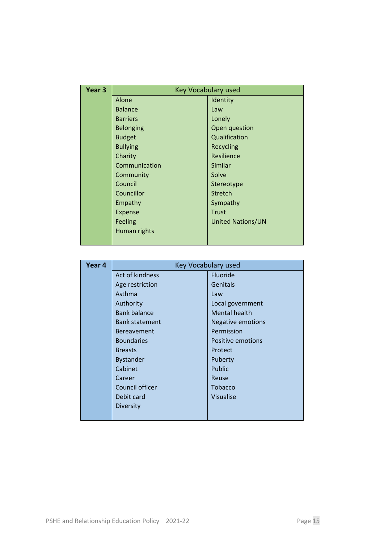| Year <sub>3</sub> | Key Vocabulary used |                          |  |
|-------------------|---------------------|--------------------------|--|
|                   | Alone               | Identity                 |  |
|                   | <b>Balance</b>      | Law                      |  |
|                   | <b>Barriers</b>     | Lonely                   |  |
|                   | <b>Belonging</b>    | Open question            |  |
|                   | <b>Budget</b>       | Qualification            |  |
|                   | <b>Bullying</b>     | Recycling                |  |
|                   | Charity             | Resilience               |  |
|                   | Communication       | Similar                  |  |
|                   | Community           | Solve                    |  |
|                   | Council             | Stereotype               |  |
|                   | Councillor          | Stretch                  |  |
|                   | Empathy             | Sympathy                 |  |
|                   | Expense             | <b>Trust</b>             |  |
|                   | Feeling             | <b>United Nations/UN</b> |  |
|                   | Human rights        |                          |  |
|                   |                     |                          |  |

| Year 4 | Key Vocabulary used   |                      |  |
|--------|-----------------------|----------------------|--|
|        | Act of kindness       | Fluoride             |  |
|        | Age restriction       | Genitals             |  |
|        | Asthma                | Law                  |  |
|        | Authority             | Local government     |  |
|        | <b>Bank balance</b>   | <b>Mental health</b> |  |
|        | <b>Bank statement</b> | Negative emotions    |  |
|        | <b>Bereavement</b>    | Permission           |  |
|        | <b>Boundaries</b>     | Positive emotions    |  |
|        | <b>Breasts</b>        | Protect              |  |
|        | <b>Bystander</b>      | Puberty              |  |
|        | Cabinet               | Public               |  |
|        | Career                | Reuse                |  |
|        | Council officer       | <b>Tobacco</b>       |  |
|        | Debit card            | <b>Visualise</b>     |  |
|        | Diversity             |                      |  |
|        |                       |                      |  |